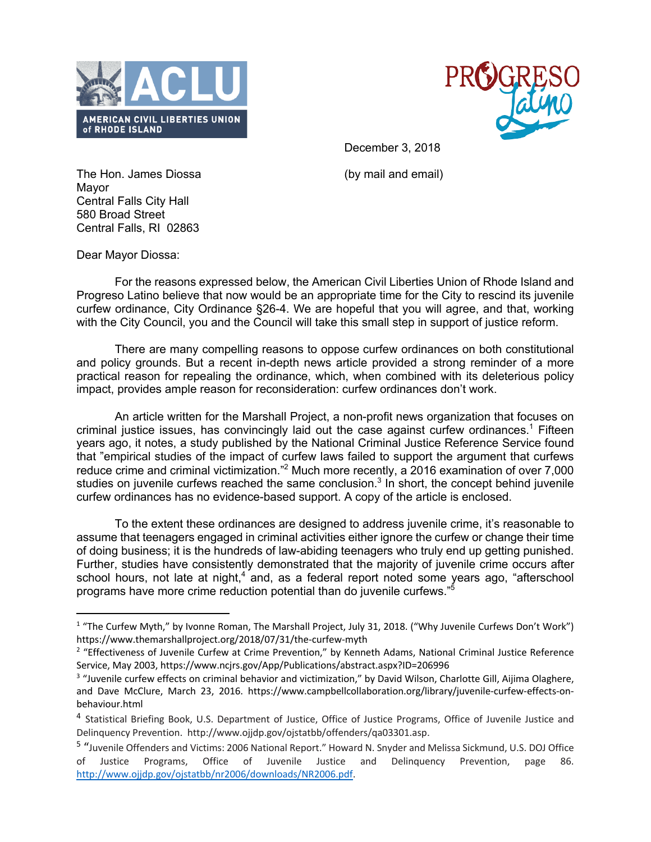



December 3, 2018

The Hon. James Diossa (by mail and email) Mayor Central Falls City Hall 580 Broad Street Central Falls, RI 02863

Dear Mayor Diossa:

For the reasons expressed below, the American Civil Liberties Union of Rhode Island and Progreso Latino believe that now would be an appropriate time for the City to rescind its juvenile curfew ordinance, City Ordinance §26-4. We are hopeful that you will agree, and that, working with the City Council, you and the Council will take this small step in support of justice reform.

There are many compelling reasons to oppose curfew ordinances on both constitutional and policy grounds. But a recent in-depth news article provided a strong reminder of a more practical reason for repealing the ordinance, which, when combined with its deleterious policy impact, provides ample reason for reconsideration: curfew ordinances don't work.

An article written for the Marshall Project, a non-profit news organization that focuses on criminal justice issues, has convincingly laid out the case against curfew ordinances.<sup>1</sup> Fifteen years ago, it notes, a study published by the National Criminal Justice Reference Service found that "empirical studies of the impact of curfew laws failed to support the argument that curfews reduce crime and criminal victimization."2 Much more recently, a 2016 examination of over 7,000 studies on juvenile curfews reached the same conclusion.<sup>3</sup> In short, the concept behind juvenile curfew ordinances has no evidence-based support. A copy of the article is enclosed.

To the extent these ordinances are designed to address juvenile crime, it's reasonable to assume that teenagers engaged in criminal activities either ignore the curfew or change their time of doing business; it is the hundreds of law-abiding teenagers who truly end up getting punished. Further, studies have consistently demonstrated that the majority of juvenile crime occurs after school hours, not late at night,<sup>4</sup> and, as a federal report noted some years ago, "afterschool programs have more crime reduction potential than do juvenile curfews."

<sup>&</sup>lt;sup>1</sup> "The Curfew Myth," by Ivonne Roman, The Marshall Project, July 31, 2018. ("Why Juvenile Curfews Don't Work") https://www.themarshallproject.org/2018/07/31/the-curfew-myth

<sup>&</sup>lt;sup>2</sup> "Effectiveness of Juvenile Curfew at Crime Prevention," by Kenneth Adams, National Criminal Justice Reference Service, May 2003, https://www.ncjrs.gov/App/Publications/abstract.aspx?ID=206996

<sup>&</sup>lt;sup>3</sup> "Juvenile curfew effects on criminal behavior and victimization," by David Wilson, Charlotte Gill, Aijima Olaghere, and Dave McClure, March 23, 2016. https://www.campbellcollaboration.org/library/juvenile-curfew-effects-onbehaviour.html

<sup>4</sup> Statistical Briefing Book, U.S. Department of Justice, Office of Justice Programs, Office of Juvenile Justice and Delinquency Prevention. http://www.ojjdp.gov/ojstatbb/offenders/qa03301.asp.

<sup>5</sup> "Juvenile Offenders and Victims: 2006 National Report." Howard N. Snyder and Melissa Sickmund, U.S. DOJ Office of Justice Programs, Office of Juvenile Justice and Delinquency Prevention, page 86. http://www.ojjdp.gov/ojstatbb/nr2006/downloads/NR2006.pdf.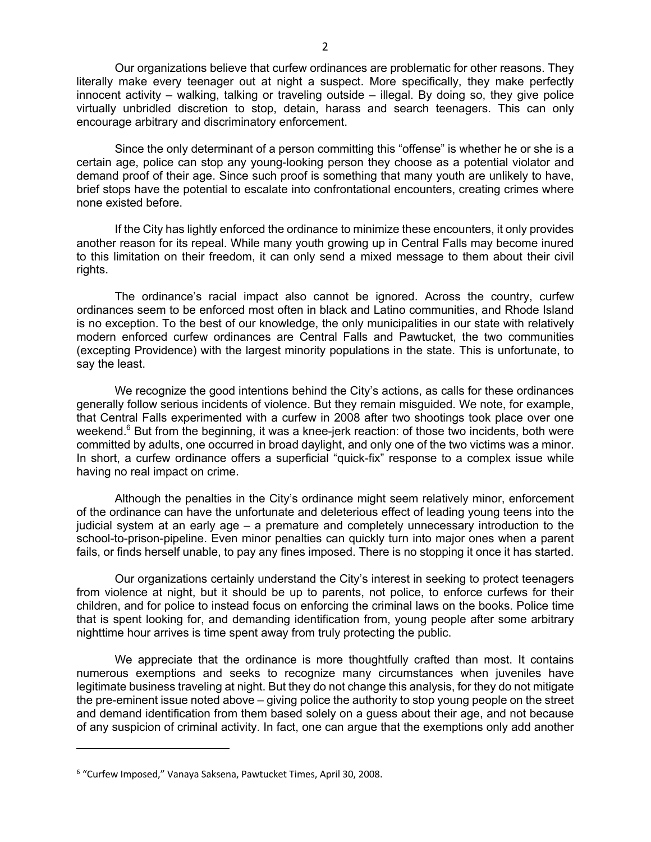Our organizations believe that curfew ordinances are problematic for other reasons. They literally make every teenager out at night a suspect. More specifically, they make perfectly innocent activity – walking, talking or traveling outside – illegal. By doing so, they give police virtually unbridled discretion to stop, detain, harass and search teenagers. This can only encourage arbitrary and discriminatory enforcement.

Since the only determinant of a person committing this "offense" is whether he or she is a certain age, police can stop any young-looking person they choose as a potential violator and demand proof of their age. Since such proof is something that many youth are unlikely to have, brief stops have the potential to escalate into confrontational encounters, creating crimes where none existed before.

If the City has lightly enforced the ordinance to minimize these encounters, it only provides another reason for its repeal. While many youth growing up in Central Falls may become inured to this limitation on their freedom, it can only send a mixed message to them about their civil rights.

The ordinance's racial impact also cannot be ignored. Across the country, curfew ordinances seem to be enforced most often in black and Latino communities, and Rhode Island is no exception. To the best of our knowledge, the only municipalities in our state with relatively modern enforced curfew ordinances are Central Falls and Pawtucket, the two communities (excepting Providence) with the largest minority populations in the state. This is unfortunate, to say the least.

We recognize the good intentions behind the City's actions, as calls for these ordinances generally follow serious incidents of violence. But they remain misguided. We note, for example, that Central Falls experimented with a curfew in 2008 after two shootings took place over one weekend. $6$  But from the beginning, it was a knee-jerk reaction: of those two incidents, both were committed by adults, one occurred in broad daylight, and only one of the two victims was a minor. In short, a curfew ordinance offers a superficial "quick-fix" response to a complex issue while having no real impact on crime.

Although the penalties in the City's ordinance might seem relatively minor, enforcement of the ordinance can have the unfortunate and deleterious effect of leading young teens into the judicial system at an early age – a premature and completely unnecessary introduction to the school-to-prison-pipeline. Even minor penalties can quickly turn into major ones when a parent fails, or finds herself unable, to pay any fines imposed. There is no stopping it once it has started.

Our organizations certainly understand the City's interest in seeking to protect teenagers from violence at night, but it should be up to parents, not police, to enforce curfews for their children, and for police to instead focus on enforcing the criminal laws on the books. Police time that is spent looking for, and demanding identification from, young people after some arbitrary nighttime hour arrives is time spent away from truly protecting the public.

We appreciate that the ordinance is more thoughtfully crafted than most. It contains numerous exemptions and seeks to recognize many circumstances when juveniles have legitimate business traveling at night. But they do not change this analysis, for they do not mitigate the pre-eminent issue noted above – giving police the authority to stop young people on the street and demand identification from them based solely on a guess about their age, and not because of any suspicion of criminal activity. In fact, one can argue that the exemptions only add another

 $\overline{a}$ 

<sup>6</sup> "Curfew Imposed," Vanaya Saksena, Pawtucket Times, April 30, 2008.